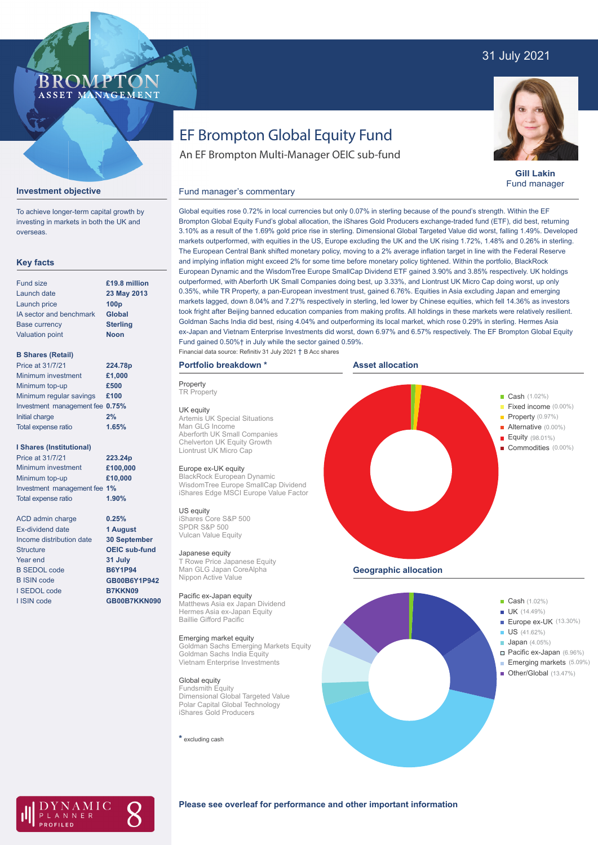## 31 July 2021

### **BROMP** ASSET MANAGEMENT

# EF Brompton Global Equity Fund

An EF Brompton Multi-Manager OEIC sub-fund



**Gill Lakin** Fund manager

#### Fund manager's commentary



**Investment objective**

overseas.

#### **Key facts**

| <b>Fund size</b>        | £19.8 million    |
|-------------------------|------------------|
| Launch date             | 23 May 2013      |
| Launch price            | 100 <sub>p</sub> |
| IA sector and benchmark | <b>Global</b>    |
| <b>Base currency</b>    | <b>Sterling</b>  |
| <b>Valuation point</b>  | <b>Noon</b>      |
|                         |                  |

#### **B Shares (Retail)**

| Price at 31/7/21                | 224.78p |
|---------------------------------|---------|
| Minimum investment              | £1,000  |
| Minimum top-up                  | £500    |
| Minimum regular savings         | £100    |
| Investment management fee 0.75% |         |
| Initial charge                  | 2%      |
| Total expense ratio             | 1.65%   |
|                                 |         |

#### **I Shares (Institutional)**

| Price at 31/7/21             | 223.24p  |
|------------------------------|----------|
| Minimum investment           | £100,000 |
| Minimum top-up               | £10,000  |
| Investment management fee 1% |          |
| <b>Total expense ratio</b>   | 1.90%    |

**0.25% 1 August 30 September OEIC sub-fund 31 July B6Y1P94 GB00B6Y1P942 B7KKN09 GB00B7KKN090**

ACD admin charge Ex-dividend date Income distribution date Structure Year end B SEDOL code B ISIN code I SEDOL code I ISIN code

3.10% as a result of the 1.69% gold price rise in sterling. Dimensional Global Targeted Value did worst, falling 1.49%. Developed markets outperformed, with equities in the US, Europe excluding the UK and the UK rising 1.72%, 1.48% and 0.26% in sterling. The European Central Bank shifted monetary policy, moving to a 2% average inflation target in line with the Federal Reserve and implying inflation might exceed 2% for some time before monetary policy tightened. Within the portfolio, BlackRock European Dynamic and the WisdomTree Europe SmallCap Dividend ETF gained 3.90% and 3.85% respectively. UK holdings outperformed, with Aberforth UK Small Companies doing best, up 3.33%, and Liontrust UK Micro Cap doing worst, up only 0.35%, while TR Property, a pan-European investment trust, gained 6.76%. Equities in Asia excluding Japan and emerging markets lagged, down 8.04% and 7.27% respectively in sterling, led lower by Chinese equities, which fell 14.36% as investors took fright after Beijing banned education companies from making profits. All holdings in these markets were relatively resilient. Goldman Sachs India did best, rising 4.04% and outperforming its local market, which rose 0.29% in sterling. Hermes Asia ex-Japan and Vietnam Enterprise Investments did worst, down 6.97% and 6.57% respectively. The EF Brompton Global Equity Fund gained 0.50%† in July while the sector gained 0.59%.

Global equities rose 0.72% in local currencies but only 0.07% in sterling because of the pound's strength. Within the EF Brompton Global Equity Fund's global allocation, the iShares Gold Producers exchange-traded fund (ETF), did best, returning

### Financial data source: Refinitiv 31 July 2021 † B Acc shares

### **Portfolio breakdown \***

**Property TR Property** UK equity Artemis UK Special Situations Man GLG Income Aberforth UK Small Companies Chelverton UK Equity Growth Liontrust UK Micro Cap

#### Europe ex-UK equity

BlackRock European Dynamic WisdomTree Europe SmallCap Dividend iShares Edge MSCI Europe Value Factor

US equity iShares Core S&P 500 SPDR S&P 500 Vulcan Value Equity

#### Japanese equity

T Rowe Price Japanese Equity Man GLG Japan CoreAlpha Nippon Active Value

#### Pacific ex-Japan equity

Matthews Asia ex Japan Dividend Hermes Asia ex-Japan Equity Baillie Gifford Pacific

#### Emerging market equity

Goldman Sachs Emerging Markets Equity Goldman Sachs India Equity Vietnam Enterprise Investments

#### Global equity

Fundsmith Equity Dimensional Global Targeted Value Polar Capital Global Technology iShares Gold Producers

**\*** excluding cash







#### **Please see overleaf for performance and other important information**